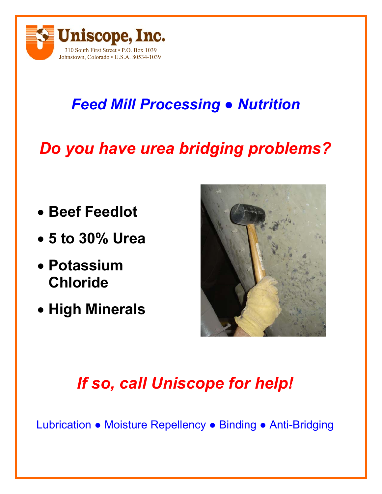

## *Feed Mill Processing ● Nutrition*

# *Do you have urea bridging problems?*

- **Beef Feedlot**
- **5 to 30% Urea**
- **Potassium Chloride**
- **High Minerals**



# *If so, call Uniscope for help!*

Lubrication ● Moisture Repellency ● Binding ● Anti-Bridging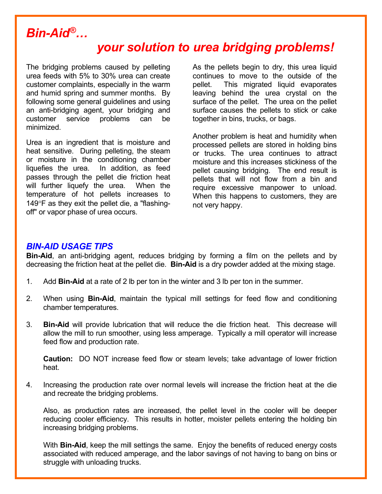### *Bin-Aid®…*

### *your solution to urea bridging problems!*

The bridging problems caused by pelleting urea feeds with 5% to 30% urea can create customer complaints, especially in the warm and humid spring and summer months. By following some general guidelines and using an anti-bridging agent, your bridging and customer service problems can be minimized.

Urea is an ingredient that is moisture and heat sensitive. During pelleting, the steam or moisture in the conditioning chamber liquefies the urea. In addition, as feed passes through the pellet die friction heat will further liquefy the urea. When the temperature of hot pellets increases to  $149^{\circ}$ F as they exit the pellet die, a "flashingoff" or vapor phase of urea occurs.

As the pellets begin to dry, this urea liquid continues to move to the outside of the pellet. This migrated liquid evaporates leaving behind the urea crystal on the surface of the pellet. The urea on the pellet surface causes the pellets to stick or cake together in bins, trucks, or bags.

Another problem is heat and humidity when processed pellets are stored in holding bins or trucks. The urea continues to attract moisture and this increases stickiness of the pellet causing bridging. The end result is pellets that will not flow from a bin and require excessive manpower to unload. When this happens to customers, they are not very happy.

#### *BIN-AID USAGE TIPS*

**Bin-Aid**, an anti-bridging agent, reduces bridging by forming a film on the pellets and by decreasing the friction heat at the pellet die. **Bin-Aid** is a dry powder added at the mixing stage.

- 1. Add **Bin-Aid** at a rate of 2 lb per ton in the winter and 3 lb per ton in the summer.
- 2. When using **Bin-Aid**, maintain the typical mill settings for feed flow and conditioning chamber temperatures.
- 3. **Bin-Aid** will provide lubrication that will reduce the die friction heat. This decrease will allow the mill to run smoother, using less amperage. Typically a mill operator will increase feed flow and production rate.

 **Caution:** DO NOT increase feed flow or steam levels; take advantage of lower friction heat.

4. Increasing the production rate over normal levels will increase the friction heat at the die and recreate the bridging problems.

 Also, as production rates are increased, the pellet level in the cooler will be deeper reducing cooler efficiency. This results in hotter, moister pellets entering the holding bin increasing bridging problems.

 With **Bin-Aid**, keep the mill settings the same. Enjoy the benefits of reduced energy costs associated with reduced amperage, and the labor savings of not having to bang on bins or struggle with unloading trucks.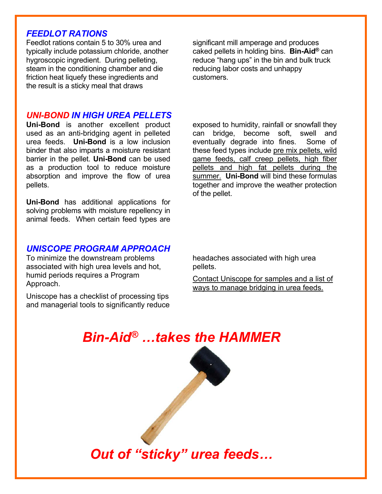#### *FEEDLOT RATIONS*

Feedlot rations contain 5 to 30% urea and typically include potassium chloride, another hygroscopic ingredient. During pelleting, steam in the conditioning chamber and die friction heat liquefy these ingredients and the result is a sticky meal that draws

#### *UNI-BOND IN HIGH UREA PELLETS*

**Uni-Bond** is another excellent product used as an anti-bridging agent in pelleted urea feeds. **Uni-Bond** is a low inclusion binder that also imparts a moisture resistant barrier in the pellet. **Uni-Bond** can be used as a production tool to reduce moisture absorption and improve the flow of urea pellets.

**Uni-Bond** has additional applications for solving problems with moisture repellency in animal feeds. When certain feed types are

significant mill amperage and produces caked pellets in holding bins. **Bin-Aid®** can reduce "hang ups" in the bin and bulk truck reducing labor costs and unhappy customers.

exposed to humidity, rainfall or snowfall they can bridge, become soft, swell and eventually degrade into fines. Some of these feed types include pre mix pellets, wild game feeds, calf creep pellets, high fiber pellets and high fat pellets during the summer. **Uni-Bond** will bind these formulas together and improve the weather protection of the pellet.

#### *UNISCOPE PROGRAM APPROACH*

To minimize the downstream problems associated with high urea levels and hot, humid periods requires a Program Approach.

Uniscope has a checklist of processing tips and managerial tools to significantly reduce headaches associated with high urea pellets.

Contact Uniscope for samples and a list of ways to manage bridging in urea feeds.

### *Bin-Aid® …takes the HAMMER*

*Out of "sticky" urea feeds…*